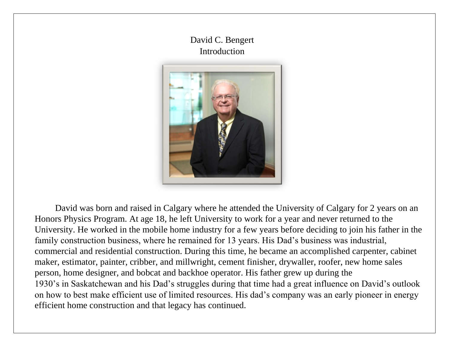## David C. Bengert Introduction



David was born and raised in Calgary where he attended the University of Calgary for 2 years on an Honors Physics Program. At age 18, he left University to work for a year and never returned to the University. He worked in the mobile home industry for a few years before deciding to join his father in the family construction business, where he remained for 13 years. His Dad's business was industrial, commercial and residential construction. During this time, he became an accomplished carpenter, cabinet maker, estimator, painter, cribber, and millwright, cement finisher, drywaller, roofer, new home sales person, home designer, and bobcat and backhoe operator. His father grew up during the 1930's in Saskatchewan and his Dad's struggles during that time had a great influence on David's outlook on how to best make efficient use of limited resources. His dad's company was an early pioneer in energy efficient home construction and that legacy has continued.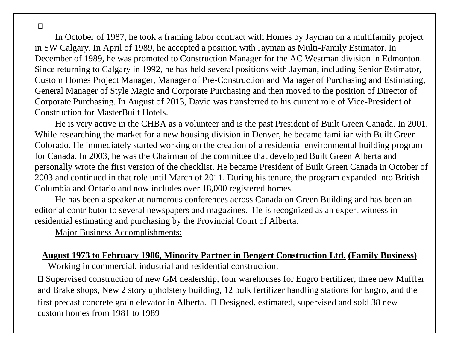In October of 1987, he took a framing labor contract with Homes by Jayman on a multifamily project in SW Calgary. In April of 1989, he accepted a position with Jayman as Multi-Family Estimator. In December of 1989, he was promoted to Construction Manager for the AC Westman division in Edmonton. Since returning to Calgary in 1992, he has held several positions with Jayman, including Senior Estimator, Custom Homes Project Manager, Manager of Pre-Construction and Manager of Purchasing and Estimating, General Manager of Style Magic and Corporate Purchasing and then moved to the position of Director of Corporate Purchasing. In August of 2013, David was transferred to his current role of Vice-President of Construction for MasterBuilt Hotels.

He is very active in the CHBA as a volunteer and is the past President of Built Green Canada. In 2001. While researching the market for a new housing division in Denver, he became familiar with Built Green Colorado. He immediately started working on the creation of a residential environmental building program for Canada. In 2003, he was the Chairman of the committee that developed Built Green Alberta and personally wrote the first version of the checklist. He became President of Built Green Canada in October of 2003 and continued in that role until March of 2011. During his tenure, the program expanded into British Columbia and Ontario and now includes over 18,000 registered homes.

He has been a speaker at numerous conferences across Canada on Green Building and has been an editorial contributor to several newspapers and magazines. He is recognized as an expert witness in residential estimating and purchasing by the Provincial Court of Alberta.

Major Business Accomplishments:

#### **August 1973 to February 1986, Minority Partner in Bengert Construction Ltd. (Family Business)**

Working in commercial, industrial and residential construction.

Supervised construction of new GM dealership, four warehouses for Engro Fertilizer, three new Muffler and Brake shops, New 2 story upholstery building, 12 bulk fertilizer handling stations for Engro, and the first precast concrete grain elevator in Alberta.  $\square$  Designed, estimated, supervised and sold 38 new custom homes from 1981 to 1989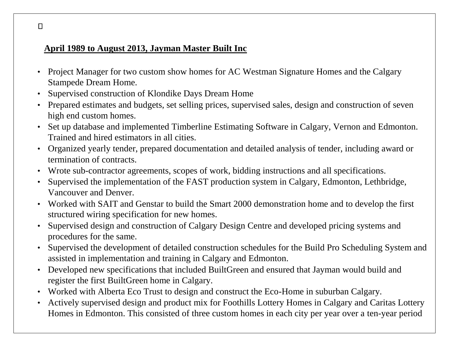# **April 1989 to August 2013, Jayman Master Built Inc**

- Project Manager for two custom show homes for AC Westman Signature Homes and the Calgary Stampede Dream Home.
- Supervised construction of Klondike Days Dream Home
- Prepared estimates and budgets, set selling prices, supervised sales, design and construction of seven high end custom homes.
- Set up database and implemented Timberline Estimating Software in Calgary, Vernon and Edmonton. Trained and hired estimators in all cities.
- Organized yearly tender, prepared documentation and detailed analysis of tender, including award or termination of contracts.
- Wrote sub-contractor agreements, scopes of work, bidding instructions and all specifications.
- Supervised the implementation of the FAST production system in Calgary, Edmonton, Lethbridge, Vancouver and Denver.
- Worked with SAIT and Genstar to build the Smart 2000 demonstration home and to develop the first structured wiring specification for new homes.
- Supervised design and construction of Calgary Design Centre and developed pricing systems and procedures for the same.
- Supervised the development of detailed construction schedules for the Build Pro Scheduling System and assisted in implementation and training in Calgary and Edmonton.
- Developed new specifications that included BuiltGreen and ensured that Jayman would build and register the first BuiltGreen home in Calgary.
- Worked with Alberta Eco Trust to design and construct the Eco-Home in suburban Calgary.
- Actively supervised design and product mix for Foothills Lottery Homes in Calgary and Caritas Lottery Homes in Edmonton. This consisted of three custom homes in each city per year over a ten-year period

 $\Box$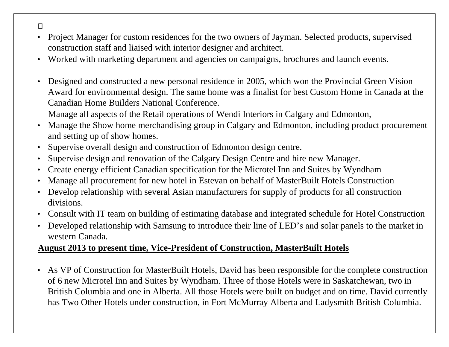- $\Box$
- Project Manager for custom residences for the two owners of Jayman. Selected products, supervised construction staff and liaised with interior designer and architect.
- Worked with marketing department and agencies on campaigns, brochures and launch events.
- Designed and constructed a new personal residence in 2005, which won the Provincial Green Vision Award for environmental design. The same home was a finalist for best Custom Home in Canada at the Canadian Home Builders National Conference.

Manage all aspects of the Retail operations of Wendi Interiors in Calgary and Edmonton,

- Manage the Show home merchandising group in Calgary and Edmonton, including product procurement and setting up of show homes.
- Supervise overall design and construction of Edmonton design centre.
- Supervise design and renovation of the Calgary Design Centre and hire new Manager.
- Create energy efficient Canadian specification for the Microtel Inn and Suites by Wyndham
- Manage all procurement for new hotel in Estevan on behalf of MasterBuilt Hotels Construction
- Develop relationship with several Asian manufacturers for supply of products for all construction divisions.
- Consult with IT team on building of estimating database and integrated schedule for Hotel Construction
- Developed relationship with Samsung to introduce their line of LED's and solar panels to the market in western Canada.

### **August 2013 to present time, Vice-President of Construction, MasterBuilt Hotels**

• As VP of Construction for MasterBuilt Hotels, David has been responsible for the complete construction of 6 new Microtel Inn and Suites by Wyndham. Three of those Hotels were in Saskatchewan, two in British Columbia and one in Alberta. All those Hotels were built on budget and on time. David currently has Two Other Hotels under construction, in Fort McMurray Alberta and Ladysmith British Columbia.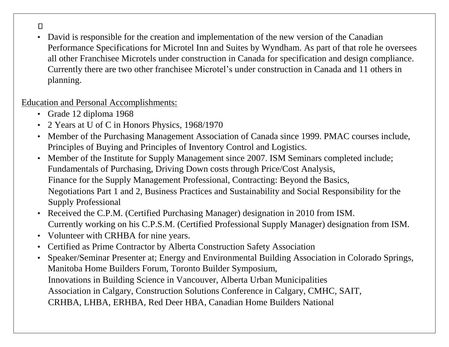• David is responsible for the creation and implementation of the new version of the Canadian Performance Specifications for Microtel Inn and Suites by Wyndham. As part of that role he oversees all other Franchisee Microtels under construction in Canada for specification and design compliance. Currently there are two other franchisee Microtel's under construction in Canada and 11 others in planning.

#### Education and Personal Accomplishments:

- Grade 12 diploma 1968
- 2 Years at U of C in Honors Physics, 1968/1970
- Member of the Purchasing Management Association of Canada since 1999. PMAC courses include, Principles of Buying and Principles of Inventory Control and Logistics.
- Member of the Institute for Supply Management since 2007. ISM Seminars completed include; Fundamentals of Purchasing, Driving Down costs through Price/Cost Analysis, Finance for the Supply Management Professional, Contracting: Beyond the Basics, Negotiations Part 1 and 2, Business Practices and Sustainability and Social Responsibility for the Supply Professional
- Received the C.P.M. (Certified Purchasing Manager) designation in 2010 from ISM. Currently working on his C.P.S.M. (Certified Professional Supply Manager) designation from ISM.
- Volunteer with CRHBA for nine years.
- Certified as Prime Contractor by Alberta Construction Safety Association
- Speaker/Seminar Presenter at; Energy and Environmental Building Association in Colorado Springs, Manitoba Home Builders Forum, Toronto Builder Symposium, Innovations in Building Science in Vancouver, Alberta Urban Municipalities Association in Calgary, Construction Solutions Conference in Calgary, CMHC, SAIT, CRHBA, LHBA, ERHBA, Red Deer HBA, Canadian Home Builders National